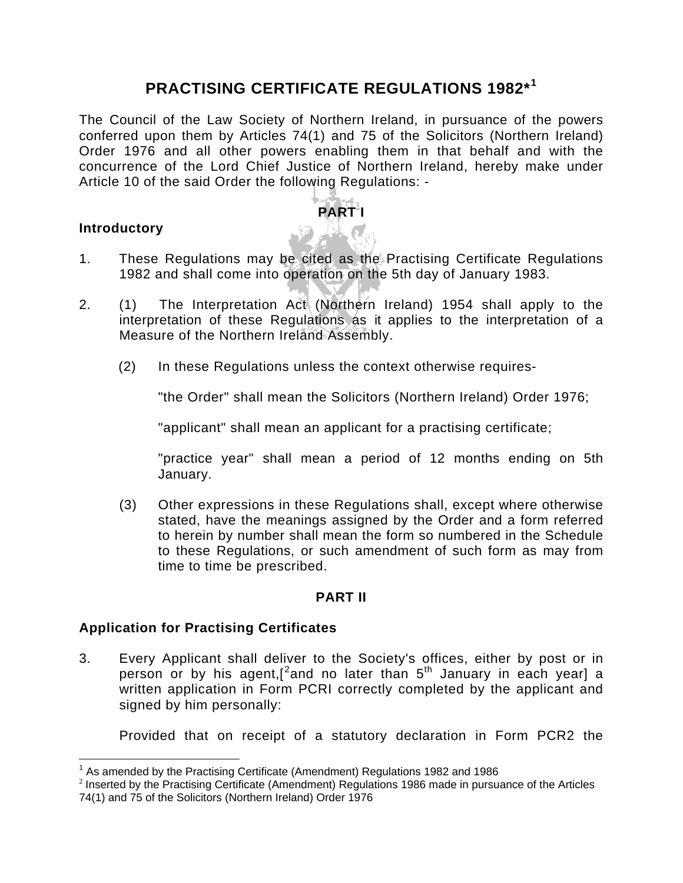# **PRACTISING CERTIFICATE REGULATIONS 1982\*[1](#page-0-0)**

The Council of the Law Society of Northern Ireland, in pursuance of the powers conferred upon them by Articles 74(1) and 75 of the Solicitors (Northern Ireland) Order 1976 and all other powers enabling them in that behalf and with the concurrence of the Lord Chief Justice of Northern Ireland, hereby make under Article 10 of the said Order the following Regulations: -

## **Introductory**

 $\overline{a}$ 

1. These Regulations may be cited as the Practising Certificate Regulations 1982 and shall come into operation on the 5th day of January 1983.

**PART I** 

- 2. (1) The Interpretation Act (Northern Ireland) 1954 shall apply to the interpretation of these Regulations as it applies to the interpretation of a Measure of the Northern Ireland Assembly.
	- (2) In these Regulations unless the context otherwise requires-

"the Order" shall mean the Solicitors (Northern Ireland) Order 1976;

"applicant" shall mean an applicant for a practising certificate;

"practice year" shall mean a period of 12 months ending on 5th January.

(3) Other expressions in these Regulations shall, except where otherwise stated, have the meanings assigned by the Order and a form referred to herein by number shall mean the form so numbered in the Schedule to these Regulations, or such amendment of such form as may from time to time be prescribed.

#### **PART II**

#### **Application for Practising Certificates**

3. Every Applicant shall deliver to the Society's offices, either by post or in person or by his agent, [[2](#page-0-1) and no later than  $5^{th}$  January in each year] a written application in Form PCRI correctly completed by the applicant and signed by him personally:

Provided that on receipt of a statutory declaration in Form PCR2 the

<span id="page-0-0"></span> $1$  As amended by the Practising Certificate (Amendment) Regulations 1982 and 1986

<span id="page-0-1"></span> $^2$  Inserted by the Practising Certificate (Amendment) Regulations 1986 made in pursuance of the Articles 74(1) and 75 of the Solicitors (Northern Ireland) Order 1976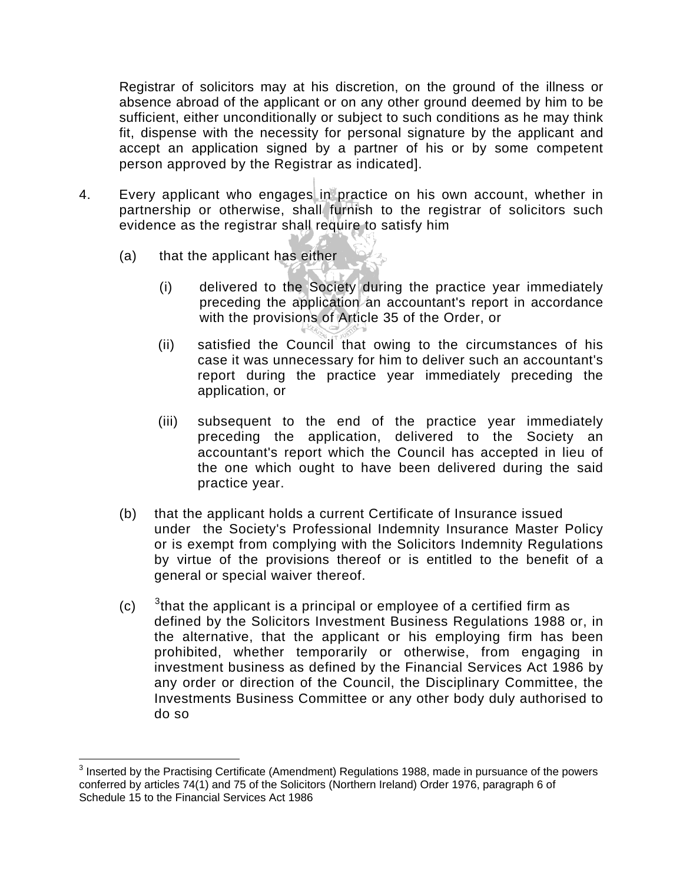Registrar of solicitors may at his discretion, on the ground of the illness or absence abroad of the applicant or on any other ground deemed by him to be sufficient, either unconditionally or subject to such conditions as he may think fit, dispense with the necessity for personal signature by the applicant and accept an application signed by a partner of his or by some competent person approved by the Registrar as indicated].

- 4. Every applicant who engages in practice on his own account, whether in partnership or otherwise, shall furnish to the registrar of solicitors such evidence as the registrar shall require to satisfy him
	- (a) that the applicant has either

 $\overline{a}$ 

- (i) delivered to the Society during the practice year immediately preceding the application an accountant's report in accordance with the provisions of Article 35 of the Order, or
- (ii) satisfied the Council that owing to the circumstances of his case it was unnecessary for him to deliver such an accountant's report during the practice year immediately preceding the application, or
- (iii) subsequent to the end of the practice year immediately preceding the application, delivered to the Society an accountant's report which the Council has accepted in lieu of the one which ought to have been delivered during the said practice year.
- (b) that the applicant holds a current Certificate of Insurance issued under the Society's Professional Indemnity Insurance Master Policy or is exempt from complying with the Solicitors Indemnity Regulations by virtue of the provisions thereof or is entitled to the benefit of a general or special waiver thereof.
- $(c)$  $3$ that the applicant is a principal or employee of a certified firm as defined by the Solicitors Investment Business Regulations 1988 or, in the alternative, that the applicant or his employing firm has been prohibited, whether temporarily or otherwise, from engaging in investment business as defined by the Financial Services Act 1986 by any order or direction of the Council, the Disciplinary Committee, the Investments Business Committee or any other body duly authorised to do so

<span id="page-1-0"></span> $3$  Inserted by the Practising Certificate (Amendment) Regulations 1988, made in pursuance of the powers conferred by articles 74(1) and 75 of the Solicitors (Northern Ireland) Order 1976, paragraph 6 of Schedule 15 to the Financial Services Act 1986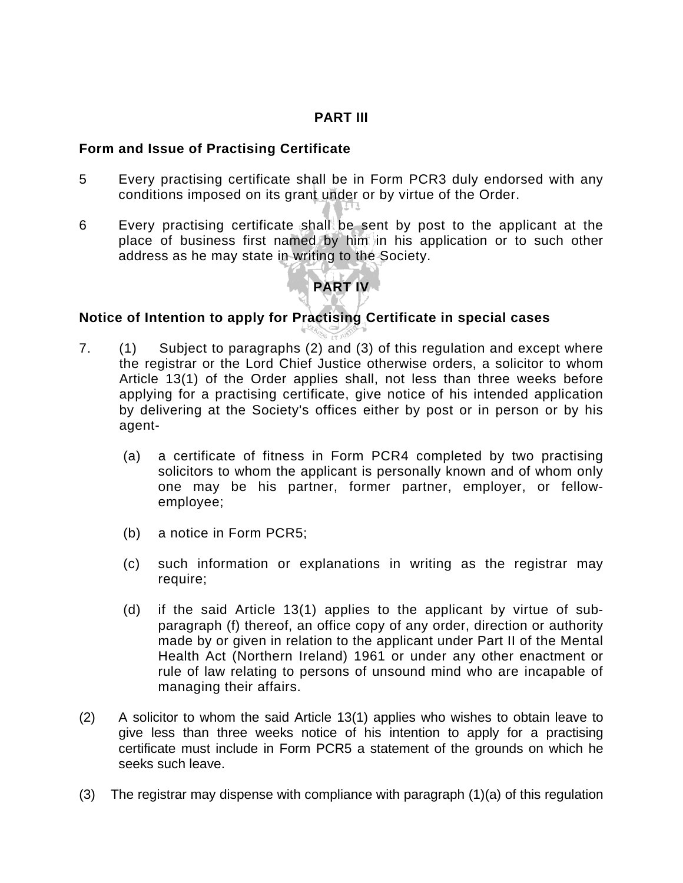## **PART III**

#### **Form and Issue of Practising Certificate**

- 5 Every practising certificate shall be in Form PCR3 duly endorsed with any conditions imposed on its grant under or by virtue of the Order.
- 6 Every practising certificate shall be sent by post to the applicant at the place of business first named by him in his application or to such other address as he may state in writing to the Society.

# **PART IV**

## **Notice of Intention to apply for Practising Certificate in special cases**

- 7. (1) Subject to paragraphs (2) and (3) of this regulation and except where the registrar or the Lord Chief Justice otherwise orders, a solicitor to whom Article 13(1) of the Order applies shall, not less than three weeks before applying for a practising certificate, give notice of his intended application by delivering at the Society's offices either by post or in person or by his agent-
	- (a) a certificate of fitness in Form PCR4 completed by two practising solicitors to whom the applicant is personally known and of whom only one may be his partner, former partner, employer, or fellowemployee;
	- (b) a notice in Form PCR5;
	- (c) such information or explanations in writing as the registrar may require;
	- (d) if the said Article 13(1) applies to the applicant by virtue of subparagraph (f) thereof, an office copy of any order, direction or authority made by or given in relation to the applicant under Part II of the Mental Health Act (Northern Ireland) 1961 or under any other enactment or rule of law relating to persons of unsound mind who are incapable of managing their affairs.
- (2) A solicitor to whom the said Article 13(1) applies who wishes to obtain leave to give less than three weeks notice of his intention to apply for a practising certificate must include in Form PCR5 a statement of the grounds on which he seeks such leave.
- (3) The registrar may dispense with compliance with paragraph (1)(a) of this regulation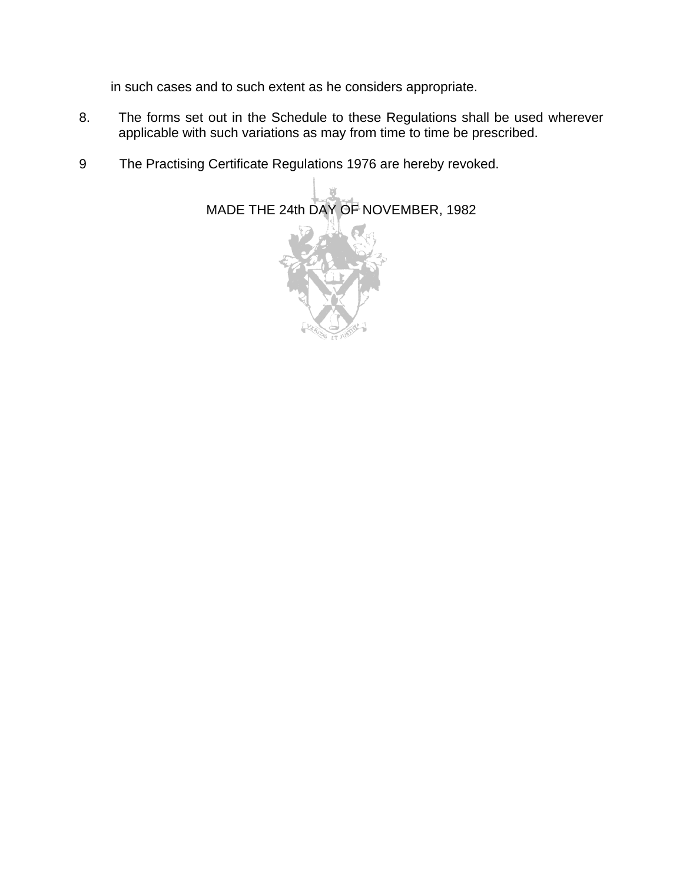in such cases and to such extent as he considers appropriate.

- 8. The forms set out in the Schedule to these Regulations shall be used wherever applicable with such variations as may from time to time be prescribed.
- 9 The Practising Certificate Regulations 1976 are hereby revoked.

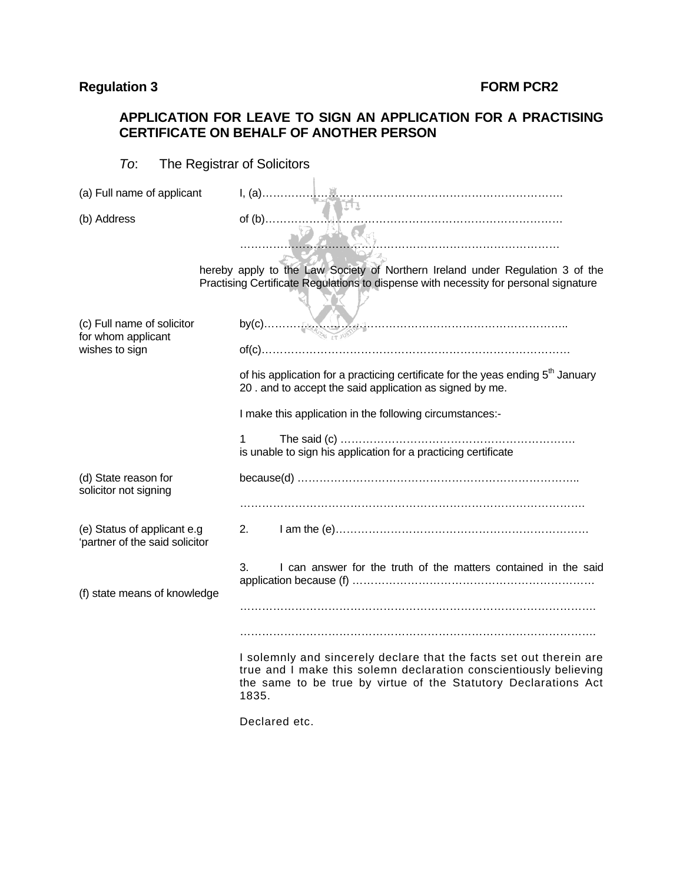## **Regulation 3** FORM PCR2

## **APPLICATION FOR LEAVE TO SIGN AN APPLICATION FOR A PRACTISING CERTIFICATE ON BEHALF OF ANOTHER PERSON**

| The Registrar of Solicitors<br>To:                            |                                                                                                                                                                                                                      |  |  |
|---------------------------------------------------------------|----------------------------------------------------------------------------------------------------------------------------------------------------------------------------------------------------------------------|--|--|
| (a) Full name of applicant                                    |                                                                                                                                                                                                                      |  |  |
| (b) Address                                                   | $of (b)$                                                                                                                                                                                                             |  |  |
|                                                               | hereby apply to the Law Society of Northern Ireland under Regulation 3 of the<br>Practising Certificate Regulations to dispense with necessity for personal signature                                                |  |  |
| (c) Full name of solicitor<br>for whom applicant              |                                                                                                                                                                                                                      |  |  |
| wishes to sign                                                |                                                                                                                                                                                                                      |  |  |
|                                                               | of his application for a practicing certificate for the yeas ending 5 <sup>th</sup> January<br>20 . and to accept the said application as signed by me.                                                              |  |  |
|                                                               | I make this application in the following circumstances:-                                                                                                                                                             |  |  |
|                                                               | $\mathbf 1$<br>is unable to sign his application for a practicing certificate                                                                                                                                        |  |  |
| (d) State reason for<br>solicitor not signing                 |                                                                                                                                                                                                                      |  |  |
|                                                               |                                                                                                                                                                                                                      |  |  |
| (e) Status of applicant e.g<br>'partner of the said solicitor | 2.                                                                                                                                                                                                                   |  |  |
| (f) state means of knowledge                                  | I can answer for the truth of the matters contained in the said<br>3.                                                                                                                                                |  |  |
|                                                               |                                                                                                                                                                                                                      |  |  |
|                                                               |                                                                                                                                                                                                                      |  |  |
|                                                               | I solemnly and sincerely declare that the facts set out therein are<br>true and I make this solemn declaration conscientiously believing<br>the same to be true by virtue of the Statutory Declarations Act<br>1835. |  |  |

Declared etc.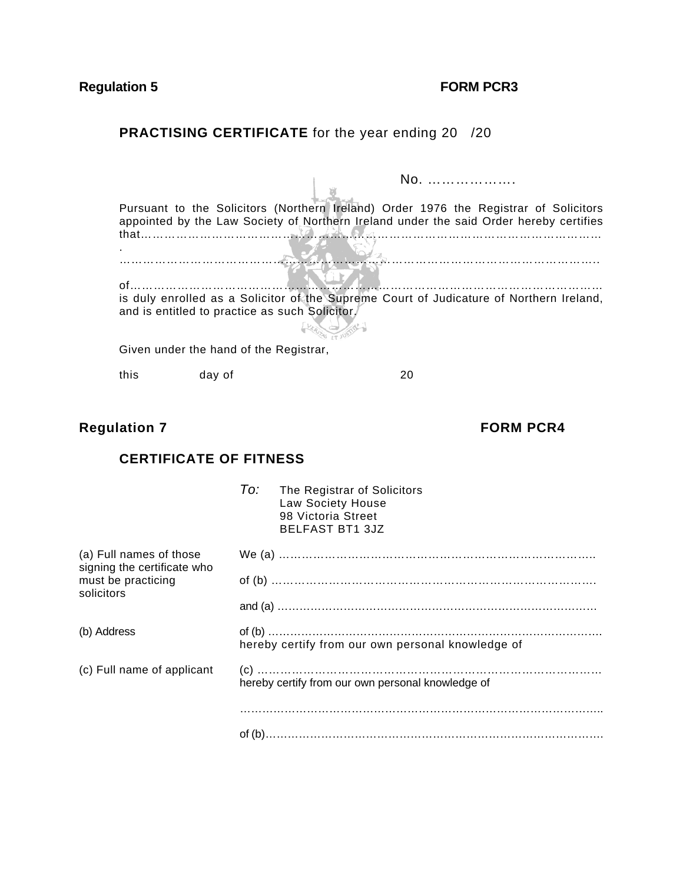# **Regulation 5 FORM PCR3**

# **PRACTISING CERTIFICATE** for the year ending 20 /20

| that |                                        | Pursuant to the Solicitors (Northern Ireland) Order 1976 the Registrar of Solicitors<br>appointed by the Law Society of Northern Ireland under the said Order hereby certifies |
|------|----------------------------------------|--------------------------------------------------------------------------------------------------------------------------------------------------------------------------------|
|      |                                        |                                                                                                                                                                                |
|      |                                        | is duly enrolled as a Solicitor of the Supreme Court of Judicature of Northern Ireland,                                                                                        |
|      |                                        | and is entitled to practice as such Solicitor.                                                                                                                                 |
|      | Given under the hand of the Registrar, |                                                                                                                                                                                |
| this | day of                                 | 20                                                                                                                                                                             |

# **Regulation 7 FORM PCR4**

# **CERTIFICATE OF FITNESS**

|                                                        | To:<br>The Registrar of Solicitors<br>Law Society House<br>98 Victoria Street<br><b>BELFAST BT1 3JZ</b> |
|--------------------------------------------------------|---------------------------------------------------------------------------------------------------------|
| (a) Full names of those<br>signing the certificate who |                                                                                                         |
| must be practicing<br>solicitors                       |                                                                                                         |
|                                                        |                                                                                                         |
| (b) Address                                            | hereby certify from our own personal knowledge of                                                       |
| (c) Full name of applicant                             | hereby certify from our own personal knowledge of                                                       |
|                                                        |                                                                                                         |
|                                                        |                                                                                                         |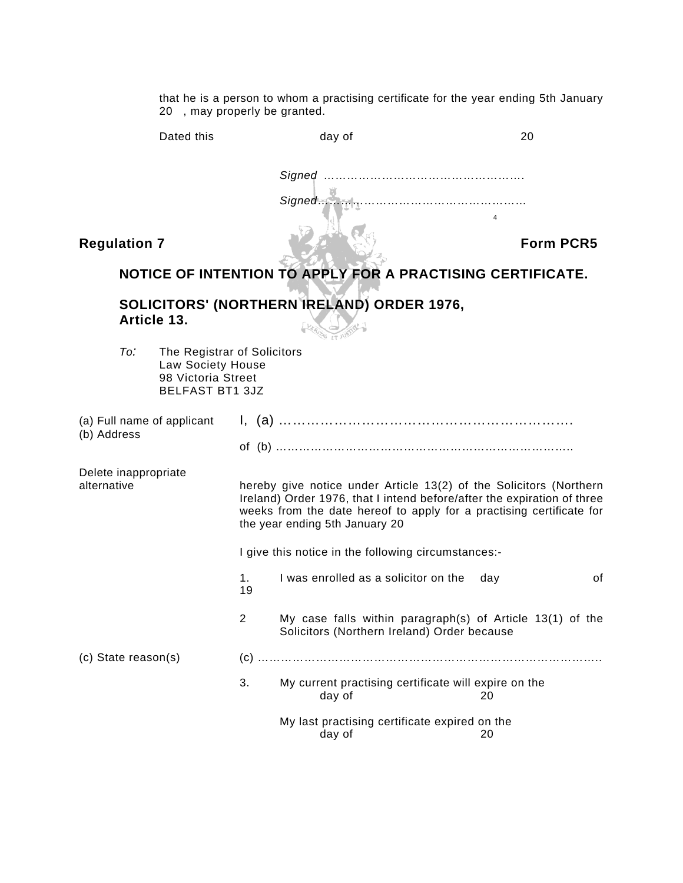that he is a person to whom a practising certificate for the year ending 5th January 20 , may properly be granted.

|                                           | Dated this                                                                                       |                                                                                                                                                                                                                                                         | day of                                                                                                   | 20  |                  |
|-------------------------------------------|--------------------------------------------------------------------------------------------------|---------------------------------------------------------------------------------------------------------------------------------------------------------------------------------------------------------------------------------------------------------|----------------------------------------------------------------------------------------------------------|-----|------------------|
|                                           |                                                                                                  |                                                                                                                                                                                                                                                         | Signed                                                                                                   |     |                  |
| <b>Regulation 7</b>                       |                                                                                                  |                                                                                                                                                                                                                                                         |                                                                                                          |     | <b>Form PCR5</b> |
|                                           |                                                                                                  |                                                                                                                                                                                                                                                         | NOTICE OF INTENTION TO APPLY FOR A PRACTISING CERTIFICATE.                                               |     |                  |
|                                           | Article 13.                                                                                      |                                                                                                                                                                                                                                                         | SOLICITORS' (NORTHERN IRELAND) ORDER 1976,                                                               |     |                  |
| To:                                       | The Registrar of Solicitors<br>Law Society House<br>98 Victoria Street<br><b>BELFAST BT1 3JZ</b> |                                                                                                                                                                                                                                                         |                                                                                                          |     |                  |
| (a) Full name of applicant<br>(b) Address |                                                                                                  |                                                                                                                                                                                                                                                         |                                                                                                          |     |                  |
| Delete inappropriate<br>alternative       |                                                                                                  | hereby give notice under Article 13(2) of the Solicitors (Northern<br>Ireland) Order 1976, that I intend before/after the expiration of three<br>weeks from the date hereof to apply for a practising certificate for<br>the year ending 5th January 20 |                                                                                                          |     |                  |
|                                           |                                                                                                  | I give this notice in the following circumstances:-                                                                                                                                                                                                     |                                                                                                          |     |                  |
|                                           |                                                                                                  | 1.<br>19                                                                                                                                                                                                                                                | I was enrolled as a solicitor on the                                                                     | day | 0f               |
|                                           |                                                                                                  | 2                                                                                                                                                                                                                                                       | My case falls within paragraph(s) of Article 13(1) of the<br>Solicitors (Northern Ireland) Order because |     |                  |
| (c) State reason(s)                       |                                                                                                  |                                                                                                                                                                                                                                                         |                                                                                                          |     |                  |
|                                           |                                                                                                  | 3.                                                                                                                                                                                                                                                      | My current practising certificate will expire on the<br>day of                                           | 20  |                  |
|                                           |                                                                                                  |                                                                                                                                                                                                                                                         | My last practising certificate expired on the<br>day of                                                  | 20  |                  |